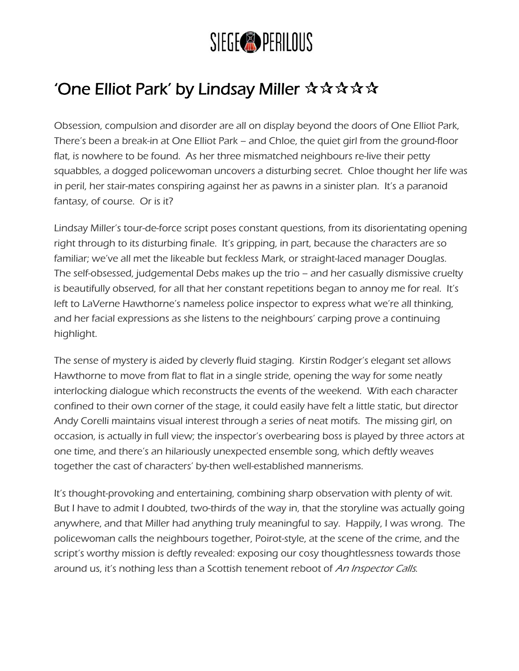## SIEGE<sup>®</sup>PERILOUS

## 'One Elliot Park' by Lindsay Miller ☆☆☆☆☆

Obsession, compulsion and disorder are all on display beyond the doors of [One Elliot Park](http://www.siegeperilous.co.uk/productions/one-elliot-park-2012/), There's been a break-in at One Elliot Park – and Chloe, the quiet girl from the ground-floor flat, is nowhere to be found. As her three mismatched neighbours re-live their petty squabbles, a dogged policewoman uncovers a disturbing secret. Chloe thought her life was in peril, her stair-mates conspiring against her as pawns in a sinister plan. It's a paranoid fantasy, of course. Or is it?

Lindsay Miller's tour-de-force script poses constant questions, from its disorientating opening right through to its disturbing finale. It's gripping, in part, because the characters are so familiar; we've all met the likeable but feckless Mark, or straight-laced manager Douglas. The self-obsessed, judgemental Debs makes up the trio – and her casually dismissive cruelty is beautifully observed, for all that her constant repetitions began to annoy me for real. It's left to LaVerne Hawthorne's nameless police inspector to express what we're all thinking, and her facial expressions as she listens to the neighbours' carping prove a continuing highlight.

The sense of mystery is aided by cleverly fluid staging. Kirstin Rodger's elegant set allows Hawthorne to move from flat to flat in a single stride, opening the way for some neatly interlocking dialogue which reconstructs the events of the weekend. With each character confined to their own corner of the stage, it could easily have felt a little static, but director Andy Corelli maintains visual interest through a series of neat motifs. The missing girl, on occasion, is actually in full view; the inspector's overbearing boss is played by three actors at one time, and there's an hilariously unexpected ensemble song, which deftly weaves together the cast of characters' by-then well-established mannerisms.

It's thought-provoking and entertaining, combining sharp observation with plenty of wit. But I have to admit I doubted, two-thirds of the way in, that the storyline was actually going anywhere, and that Miller had anything truly meaningful to say. Happily, I was wrong. The policewoman calls the neighbours together, Poirot-style, at the scene of the crime, and the script's worthy mission is deftly revealed: exposing our cosy thoughtlessness towards those around us, it's nothing less than a Scottish tenement reboot of An Inspector Calls.